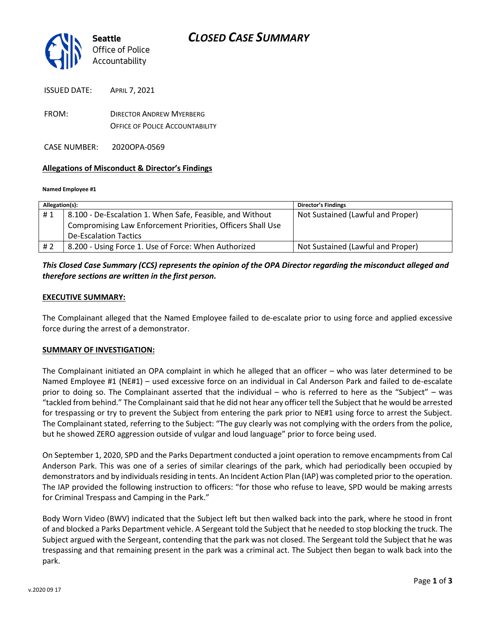

| <b>ISSUED DATE:</b> | <b>APRIL 7, 2021</b>            |  |
|---------------------|---------------------------------|--|
| FROM:               | <b>DIRECTOR ANDREW MYFRBERG</b> |  |

OFFICE OF POLICE ACCOUNTABILITY

CASE NUMBER: 2020OPA-0569

#### **Allegations of Misconduct & Director's Findings**

#### **Named Employee #1**

| Allegation(s): |                                                             | <b>Director's Findings</b>        |
|----------------|-------------------------------------------------------------|-----------------------------------|
| #1             | 8.100 - De-Escalation 1. When Safe, Feasible, and Without   | Not Sustained (Lawful and Proper) |
|                | Compromising Law Enforcement Priorities, Officers Shall Use |                                   |
|                | <b>De-Escalation Tactics</b>                                |                                   |
| # 2            | 8.200 - Using Force 1. Use of Force: When Authorized        | Not Sustained (Lawful and Proper) |

## *This Closed Case Summary (CCS) represents the opinion of the OPA Director regarding the misconduct alleged and therefore sections are written in the first person.*

#### **EXECUTIVE SUMMARY:**

The Complainant alleged that the Named Employee failed to de-escalate prior to using force and applied excessive force during the arrest of a demonstrator.

#### **SUMMARY OF INVESTIGATION:**

The Complainant initiated an OPA complaint in which he alleged that an officer – who was later determined to be Named Employee #1 (NE#1) – used excessive force on an individual in Cal Anderson Park and failed to de-escalate prior to doing so. The Complainant asserted that the individual – who is referred to here as the "Subject" – was "tackled from behind." The Complainant said that he did not hear any officer tell the Subject that he would be arrested for trespassing or try to prevent the Subject from entering the park prior to NE#1 using force to arrest the Subject. The Complainant stated, referring to the Subject: "The guy clearly was not complying with the orders from the police, but he showed ZERO aggression outside of vulgar and loud language" prior to force being used.

On September 1, 2020, SPD and the Parks Department conducted a joint operation to remove encampments from Cal Anderson Park. This was one of a series of similar clearings of the park, which had periodically been occupied by demonstrators and by individuals residing in tents. An Incident Action Plan (IAP) was completed prior to the operation. The IAP provided the following instruction to officers: "for those who refuse to leave, SPD would be making arrests for Criminal Trespass and Camping in the Park."

Body Worn Video (BWV) indicated that the Subject left but then walked back into the park, where he stood in front of and blocked a Parks Department vehicle. A Sergeant told the Subject that he needed to stop blocking the truck. The Subject argued with the Sergeant, contending that the park was not closed. The Sergeant told the Subject that he was trespassing and that remaining present in the park was a criminal act. The Subject then began to walk back into the park.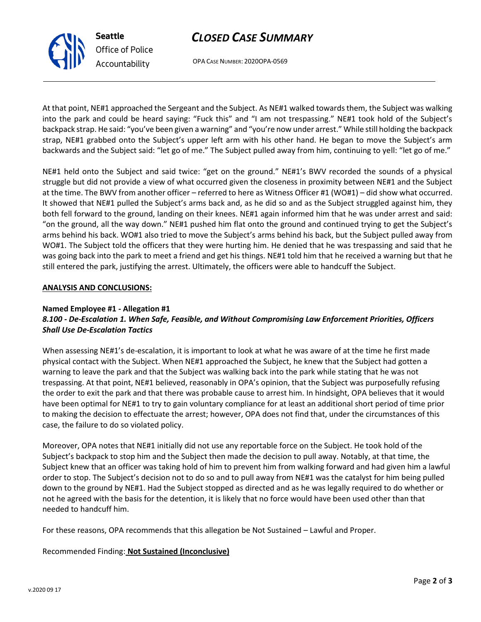## *CLOSED CASE SUMMARY*



OPA CASE NUMBER: 2020OPA-0569

At that point, NE#1 approached the Sergeant and the Subject. As NE#1 walked towards them, the Subject was walking into the park and could be heard saying: "Fuck this" and "I am not trespassing." NE#1 took hold of the Subject's backpack strap. He said: "you've been given a warning" and "you're now under arrest." While still holding the backpack strap, NE#1 grabbed onto the Subject's upper left arm with his other hand. He began to move the Subject's arm backwards and the Subject said: "let go of me." The Subject pulled away from him, continuing to yell: "let go of me."

NE#1 held onto the Subject and said twice: "get on the ground." NE#1's BWV recorded the sounds of a physical struggle but did not provide a view of what occurred given the closeness in proximity between NE#1 and the Subject at the time. The BWV from another officer – referred to here as Witness Officer #1 (WO#1) – did show what occurred. It showed that NE#1 pulled the Subject's arms back and, as he did so and as the Subject struggled against him, they both fell forward to the ground, landing on their knees. NE#1 again informed him that he was under arrest and said: "on the ground, all the way down." NE#1 pushed him flat onto the ground and continued trying to get the Subject's arms behind his back. WO#1 also tried to move the Subject's arms behind his back, but the Subject pulled away from WO#1. The Subject told the officers that they were hurting him. He denied that he was trespassing and said that he was going back into the park to meet a friend and get his things. NE#1 told him that he received a warning but that he still entered the park, justifying the arrest. Ultimately, the officers were able to handcuff the Subject.

#### **ANALYSIS AND CONCLUSIONS:**

### **Named Employee #1 - Allegation #1**

## *8.100 - De-Escalation 1. When Safe, Feasible, and Without Compromising Law Enforcement Priorities, Officers Shall Use De-Escalation Tactics*

When assessing NE#1's de-escalation, it is important to look at what he was aware of at the time he first made physical contact with the Subject. When NE#1 approached the Subject, he knew that the Subject had gotten a warning to leave the park and that the Subject was walking back into the park while stating that he was not trespassing. At that point, NE#1 believed, reasonably in OPA's opinion, that the Subject was purposefully refusing the order to exit the park and that there was probable cause to arrest him. In hindsight, OPA believes that it would have been optimal for NE#1 to try to gain voluntary compliance for at least an additional short period of time prior to making the decision to effectuate the arrest; however, OPA does not find that, under the circumstances of this case, the failure to do so violated policy.

Moreover, OPA notes that NE#1 initially did not use any reportable force on the Subject. He took hold of the Subject's backpack to stop him and the Subject then made the decision to pull away. Notably, at that time, the Subject knew that an officer was taking hold of him to prevent him from walking forward and had given him a lawful order to stop. The Subject's decision not to do so and to pull away from NE#1 was the catalyst for him being pulled down to the ground by NE#1. Had the Subject stopped as directed and as he was legally required to do whether or not he agreed with the basis for the detention, it is likely that no force would have been used other than that needed to handcuff him.

For these reasons, OPA recommends that this allegation be Not Sustained – Lawful and Proper.

#### Recommended Finding: **Not Sustained (Inconclusive)**